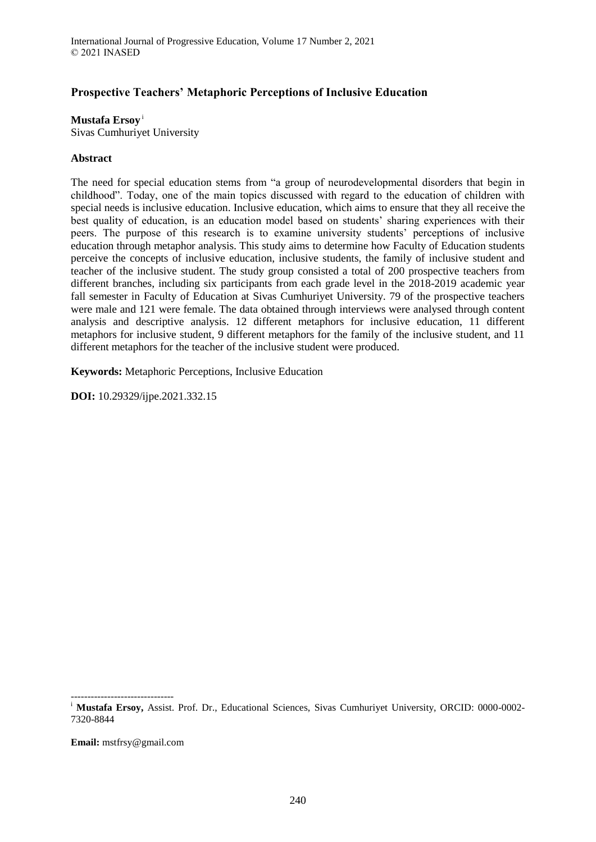# **Prospective Teachers' Metaphoric Perceptions of Inclusive Education**

**Mustafa Ersoy** <sup>i</sup>

Sivas Cumhuriyet University

#### **Abstract**

The need for special education stems from "a group of neurodevelopmental disorders that begin in childhood". Today, one of the main topics discussed with regard to the education of children with special needs is inclusive education. Inclusive education, which aims to ensure that they all receive the best quality of education, is an education model based on students' sharing experiences with their peers. The purpose of this research is to examine university students' perceptions of inclusive education through metaphor analysis. This study aims to determine how Faculty of Education students perceive the concepts of inclusive education, inclusive students, the family of inclusive student and teacher of the inclusive student. The study group consisted a total of 200 prospective teachers from different branches, including six participants from each grade level in the 2018-2019 academic year fall semester in Faculty of Education at Sivas Cumhuriyet University. 79 of the prospective teachers were male and 121 were female. The data obtained through interviews were analysed through content analysis and descriptive analysis. 12 different metaphors for inclusive education, 11 different metaphors for inclusive student, 9 different metaphors for the family of the inclusive student, and 11 different metaphors for the teacher of the inclusive student were produced.

**Keywords:** Metaphoric Perceptions, Inclusive Education

**DOI:** 10.29329/ijpe.2021.332.15

-------------------------------

**Email:** mstfrsy@gmail.com

<sup>&</sup>lt;sup>i</sup> Mustafa Ersoy, Assist. Prof. Dr., Educational Sciences, Sivas Cumhuriyet University, ORCID: 0000-0002-7320-8844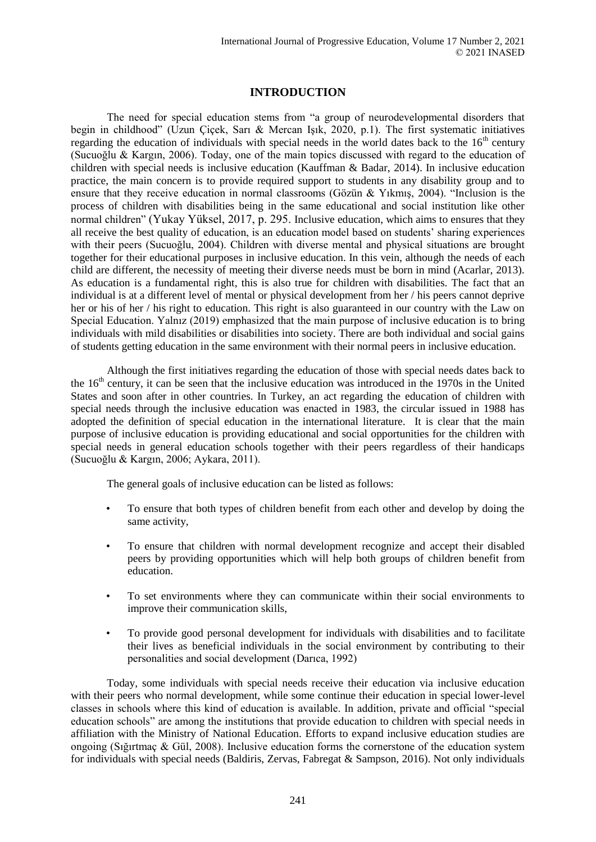# **INTRODUCTION**

The need for special education stems from "a group of neurodevelopmental disorders that begin in childhood" (Uzun Çiçek, Sarı & Mercan Işık, 2020, p.1). The first systematic initiatives regarding the education of individuals with special needs in the world dates back to the  $16<sup>th</sup>$  century (Sucuoğlu & Kargın, 2006). Today, one of the main topics discussed with regard to the education of children with special needs is inclusive education (Kauffman & Badar, 2014). In inclusive education practice, the main concern is to provide required support to students in any disability group and to ensure that they receive education in normal classrooms (Gözün & Yıkmış, 2004). "Inclusion is the process of children with disabilities being in the same educational and social institution like other normal children" (Yukay Yüksel, 2017, p. 295. Inclusive education, which aims to ensures that they all receive the best quality of education, is an education model based on students' sharing experiences with their peers (Sucuoğlu, 2004). Children with diverse mental and physical situations are brought together for their educational purposes in inclusive education. In this vein, although the needs of each child are different, the necessity of meeting their diverse needs must be born in mind (Acarlar, 2013). As education is a fundamental right, this is also true for children with disabilities. The fact that an individual is at a different level of mental or physical development from her / his peers cannot deprive her or his of her / his right to education. This right is also guaranteed in our country with the Law on Special Education. Yalnız (2019) emphasized that the main purpose of inclusive education is to bring individuals with mild disabilities or disabilities into society. There are both individual and social gains of students getting education in the same environment with their normal peers in inclusive education.

Although the first initiatives regarding the education of those with special needs dates back to the 16<sup>th</sup> century, it can be seen that the inclusive education was introduced in the 1970s in the United States and soon after in other countries. In Turkey, an act regarding the education of children with special needs through the inclusive education was enacted in 1983, the circular issued in 1988 has adopted the definition of special education in the international literature. It is clear that the main purpose of inclusive education is providing educational and social opportunities for the children with special needs in general education schools together with their peers regardless of their handicaps (Sucuoğlu & Kargın, 2006; Aykara, 2011).

The general goals of inclusive education can be listed as follows:

- To ensure that both types of children benefit from each other and develop by doing the same activity,
- To ensure that children with normal development recognize and accept their disabled peers by providing opportunities which will help both groups of children benefit from education.
- To set environments where they can communicate within their social environments to improve their communication skills,
- To provide good personal development for individuals with disabilities and to facilitate their lives as beneficial individuals in the social environment by contributing to their personalities and social development (Darıca, 1992)

Today, some individuals with special needs receive their education via inclusive education with their peers who normal development, while some continue their education in special lower-level classes in schools where this kind of education is available. In addition, private and official "special education schools" are among the institutions that provide education to children with special needs in affiliation with the Ministry of National Education. Efforts to expand inclusive education studies are ongoing (Sığırtmaç & Gül, 2008). Inclusive education forms the cornerstone of the education system for individuals with special needs (Baldiris, Zervas, Fabregat & Sampson, 2016). Not only individuals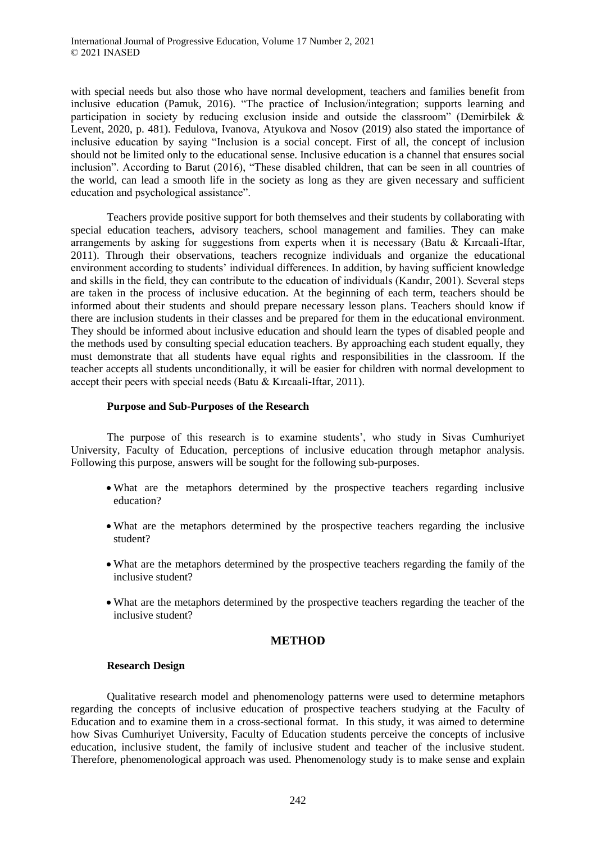with special needs but also those who have normal development, teachers and families benefit from inclusive education (Pamuk, 2016). "The practice of Inclusion/integration; supports learning and participation in society by reducing exclusion inside and outside the classroom" (Demirbilek & Levent, 2020, p. 481). Fedulova, Ivanova, Atyukova and Nosov (2019) also stated the importance of inclusive education by saying "Inclusion is a social concept. First of all, the concept of inclusion should not be limited only to the educational sense. Inclusive education is a channel that ensures social inclusion". According to Barut (2016), "These disabled children, that can be seen in all countries of the world, can lead a smooth life in the society as long as they are given necessary and sufficient education and psychological assistance".

Teachers provide positive support for both themselves and their students by collaborating with special education teachers, advisory teachers, school management and families. They can make arrangements by asking for suggestions from experts when it is necessary (Batu & Kırcaali-Iftar, 2011). Through their observations, teachers recognize individuals and organize the educational environment according to students' individual differences. In addition, by having sufficient knowledge and skills in the field, they can contribute to the education of individuals (Kandır, 2001). Several steps are taken in the process of inclusive education. At the beginning of each term, teachers should be informed about their students and should prepare necessary lesson plans. Teachers should know if there are inclusion students in their classes and be prepared for them in the educational environment. They should be informed about inclusive education and should learn the types of disabled people and the methods used by consulting special education teachers. By approaching each student equally, they must demonstrate that all students have equal rights and responsibilities in the classroom. If the teacher accepts all students unconditionally, it will be easier for children with normal development to accept their peers with special needs (Batu & Kırcaali-Iftar, 2011).

## **Purpose and Sub-Purposes of the Research**

The purpose of this research is to examine students', who study in Sivas Cumhuriyet University, Faculty of Education, perceptions of inclusive education through metaphor analysis. Following this purpose, answers will be sought for the following sub-purposes.

- What are the metaphors determined by the prospective teachers regarding inclusive education?
- What are the metaphors determined by the prospective teachers regarding the inclusive student?
- What are the metaphors determined by the prospective teachers regarding the family of the inclusive student?
- What are the metaphors determined by the prospective teachers regarding the teacher of the inclusive student?

## **METHOD**

## **Research Design**

Qualitative research model and phenomenology patterns were used to determine metaphors regarding the concepts of inclusive education of prospective teachers studying at the Faculty of Education and to examine them in a cross-sectional format. In this study, it was aimed to determine how Sivas Cumhuriyet University, Faculty of Education students perceive the concepts of inclusive education, inclusive student, the family of inclusive student and teacher of the inclusive student. Therefore, phenomenological approach was used. Phenomenology study is to make sense and explain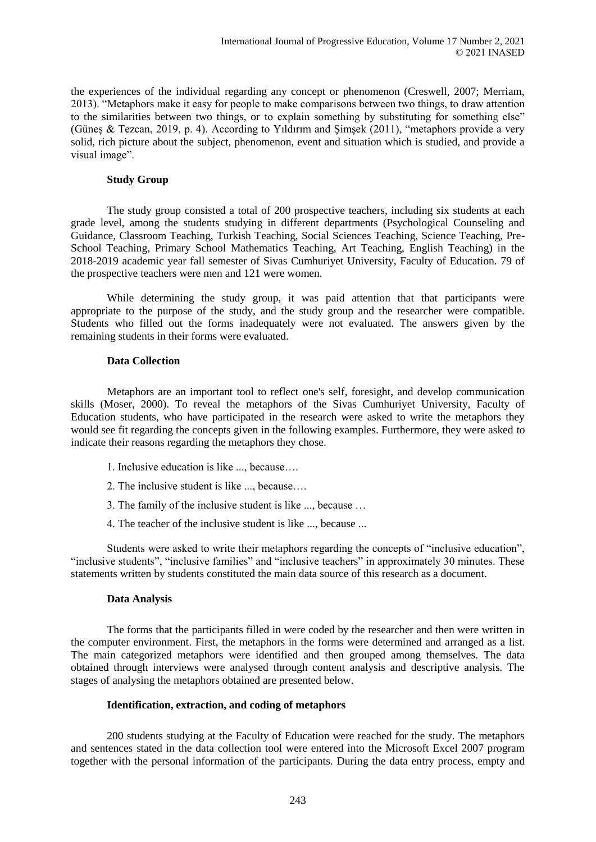the experiences of the individual regarding any concept or phenomenon (Creswell, 2007; Merriam, 2013). "Metaphors make it easy for people to make comparisons between two things, to draw attention to the similarities between two things, or to explain something by substituting for something else" (Güneş & Tezcan, 2019, p. 4). According to Yıldırım and Şimşek (2011), "metaphors provide a very solid, rich picture about the subject, phenomenon, event and situation which is studied, and provide a visual image".

#### **Study Group**

The study group consisted a total of 200 prospective teachers, including six students at each grade level, among the students studying in different departments (Psychological Counseling and Guidance, Classroom Teaching, Turkish Teaching, Social Sciences Teaching, Science Teaching, Pre-School Teaching, Primary School Mathematics Teaching, Art Teaching, English Teaching) in the 2018-2019 academic year fall semester of Sivas Cumhuriyet University, Faculty of Education. 79 of the prospective teachers were men and 121 were women.

While determining the study group, it was paid attention that that participants were appropriate to the purpose of the study, and the study group and the researcher were compatible. Students who filled out the forms inadequately were not evaluated. The answers given by the remaining students in their forms were evaluated.

#### **Data Collection**

Metaphors are an important tool to reflect one's self, foresight, and develop communication skills (Moser, 2000). To reveal the metaphors of the Sivas Cumhuriyet University, Faculty of Education students, who have participated in the research were asked to write the metaphors they would see fit regarding the concepts given in the following examples. Furthermore, they were asked to indicate their reasons regarding the metaphors they chose.

- 1. Inclusive education is like ..., because….
- 2. The inclusive student is like ..., because….
- 3. The family of the inclusive student is like ..., because …
- 4. The teacher of the inclusive student is like ..., because ...

Students were asked to write their metaphors regarding the concepts of "inclusive education", "inclusive students", "inclusive families" and "inclusive teachers" in approximately 30 minutes. These statements written by students constituted the main data source of this research as a document.

#### **Data Analysis**

The forms that the participants filled in were coded by the researcher and then were written in the computer environment. First, the metaphors in the forms were determined and arranged as a list. The main categorized metaphors were identified and then grouped among themselves. The data obtained through interviews were analysed through content analysis and descriptive analysis. The stages of analysing the metaphors obtained are presented below.

#### **Identification, extraction, and coding of metaphors**

200 students studying at the Faculty of Education were reached for the study. The metaphors and sentences stated in the data collection tool were entered into the Microsoft Excel 2007 program together with the personal information of the participants. During the data entry process, empty and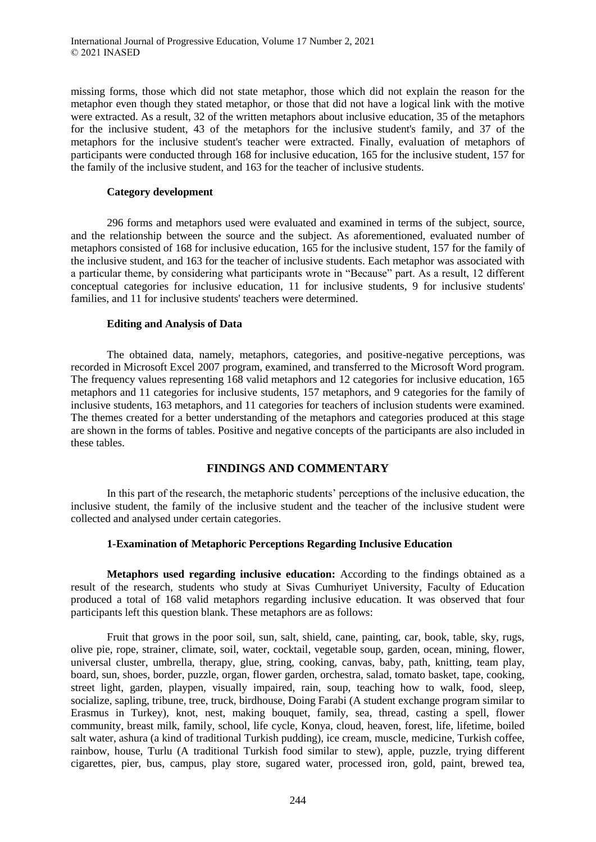missing forms, those which did not state metaphor, those which did not explain the reason for the metaphor even though they stated metaphor, or those that did not have a logical link with the motive were extracted. As a result, 32 of the written metaphors about inclusive education, 35 of the metaphors for the inclusive student, 43 of the metaphors for the inclusive student's family, and 37 of the metaphors for the inclusive student's teacher were extracted. Finally, evaluation of metaphors of participants were conducted through 168 for inclusive education, 165 for the inclusive student, 157 for the family of the inclusive student, and 163 for the teacher of inclusive students.

## **Category development**

296 forms and metaphors used were evaluated and examined in terms of the subject, source, and the relationship between the source and the subject. As aforementioned, evaluated number of metaphors consisted of 168 for inclusive education, 165 for the inclusive student, 157 for the family of the inclusive student, and 163 for the teacher of inclusive students. Each metaphor was associated with a particular theme, by considering what participants wrote in "Because" part. As a result, 12 different conceptual categories for inclusive education, 11 for inclusive students, 9 for inclusive students' families, and 11 for inclusive students' teachers were determined.

#### **Editing and Analysis of Data**

The obtained data, namely, metaphors, categories, and positive-negative perceptions, was recorded in Microsoft Excel 2007 program, examined, and transferred to the Microsoft Word program. The frequency values representing 168 valid metaphors and 12 categories for inclusive education, 165 metaphors and 11 categories for inclusive students, 157 metaphors, and 9 categories for the family of inclusive students, 163 metaphors, and 11 categories for teachers of inclusion students were examined. The themes created for a better understanding of the metaphors and categories produced at this stage are shown in the forms of tables. Positive and negative concepts of the participants are also included in these tables.

## **FINDINGS AND COMMENTARY**

In this part of the research, the metaphoric students' perceptions of the inclusive education, the inclusive student, the family of the inclusive student and the teacher of the inclusive student were collected and analysed under certain categories.

## **1-Examination of Metaphoric Perceptions Regarding Inclusive Education**

**Metaphors used regarding inclusive education:** According to the findings obtained as a result of the research, students who study at Sivas Cumhuriyet University, Faculty of Education produced a total of 168 valid metaphors regarding inclusive education. It was observed that four participants left this question blank. These metaphors are as follows:

Fruit that grows in the poor soil, sun, salt, shield, cane, painting, car, book, table, sky, rugs, olive pie, rope, strainer, climate, soil, water, cocktail, vegetable soup, garden, ocean, mining, flower, universal cluster, umbrella, therapy, glue, string, cooking, canvas, baby, path, knitting, team play, board, sun, shoes, border, puzzle, organ, flower garden, orchestra, salad, tomato basket, tape, cooking, street light, garden, playpen, visually impaired, rain, soup, teaching how to walk, food, sleep, socialize, sapling, tribune, tree, truck, birdhouse, Doing Farabi (A student exchange program similar to Erasmus in Turkey), knot, nest, making bouquet, family, sea, thread, casting a spell, flower community, breast milk, family, school, life cycle, Konya, cloud, heaven, forest, life, lifetime, boiled salt water, ashura (a kind of traditional Turkish pudding), ice cream, muscle, medicine, Turkish coffee, rainbow, house, Turlu (A traditional Turkish food similar to stew), apple, puzzle, trying different cigarettes, pier, bus, campus, play store, sugared water, processed iron, gold, paint, brewed tea,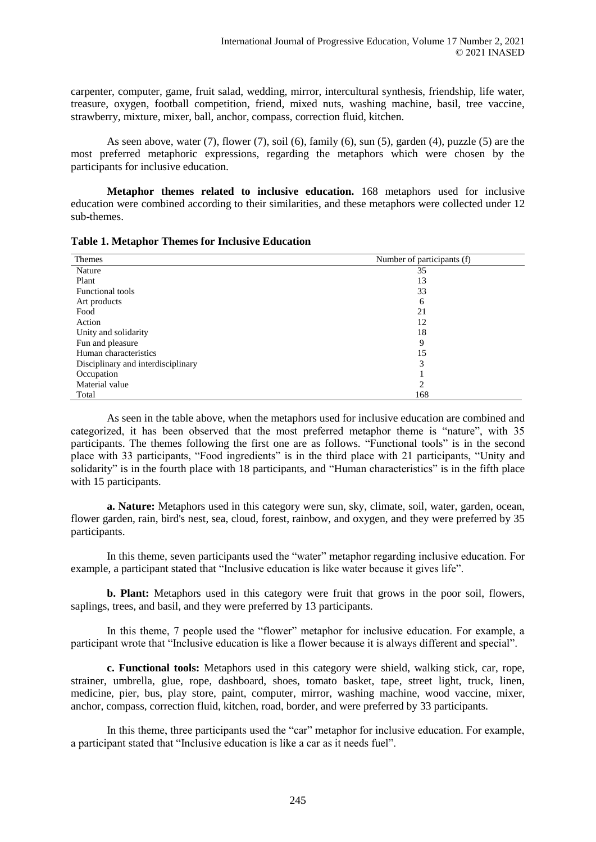carpenter, computer, game, fruit salad, wedding, mirror, intercultural synthesis, friendship, life water, treasure, oxygen, football competition, friend, mixed nuts, washing machine, basil, tree vaccine, strawberry, mixture, mixer, ball, anchor, compass, correction fluid, kitchen.

As seen above, water (7), flower (7), soil (6), family (6), sun (5), garden (4), puzzle (5) are the most preferred metaphoric expressions, regarding the metaphors which were chosen by the participants for inclusive education.

**Metaphor themes related to inclusive education.** 168 metaphors used for inclusive education were combined according to their similarities, and these metaphors were collected under 12 sub-themes.

| <b>Table 1. Metaphor Themes for Inclusive Education</b> |  |
|---------------------------------------------------------|--|
|---------------------------------------------------------|--|

| <b>Themes</b>                      | Number of participants (f) |
|------------------------------------|----------------------------|
| Nature                             | 35                         |
| Plant                              | 13                         |
| <b>Functional tools</b>            | 33                         |
| Art products                       | 6                          |
| Food                               | 21                         |
| Action                             | 12                         |
| Unity and solidarity               | 18                         |
| Fun and pleasure                   | 9                          |
| Human characteristics              | 15                         |
| Disciplinary and interdisciplinary | 3                          |
| Occupation                         |                            |
| Material value                     | 2                          |
| Total                              | 168                        |

As seen in the table above, when the metaphors used for inclusive education are combined and categorized, it has been observed that the most preferred metaphor theme is "nature", with 35 participants. The themes following the first one are as follows. "Functional tools" is in the second place with 33 participants, "Food ingredients" is in the third place with 21 participants, "Unity and solidarity" is in the fourth place with 18 participants, and "Human characteristics" is in the fifth place with 15 participants.

**a. Nature:** Metaphors used in this category were sun, sky, climate, soil, water, garden, ocean, flower garden, rain, bird's nest, sea, cloud, forest, rainbow, and oxygen, and they were preferred by 35 participants.

In this theme, seven participants used the "water" metaphor regarding inclusive education. For example, a participant stated that "Inclusive education is like water because it gives life".

**b. Plant:** Metaphors used in this category were fruit that grows in the poor soil, flowers, saplings, trees, and basil, and they were preferred by 13 participants.

In this theme, 7 people used the "flower" metaphor for inclusive education. For example, a participant wrote that "Inclusive education is like a flower because it is always different and special".

**c. Functional tools:** Metaphors used in this category were shield, walking stick, car, rope, strainer, umbrella, glue, rope, dashboard, shoes, tomato basket, tape, street light, truck, linen, medicine, pier, bus, play store, paint, computer, mirror, washing machine, wood vaccine, mixer, anchor, compass, correction fluid, kitchen, road, border, and were preferred by 33 participants.

In this theme, three participants used the "car" metaphor for inclusive education. For example, a participant stated that "Inclusive education is like a car as it needs fuel".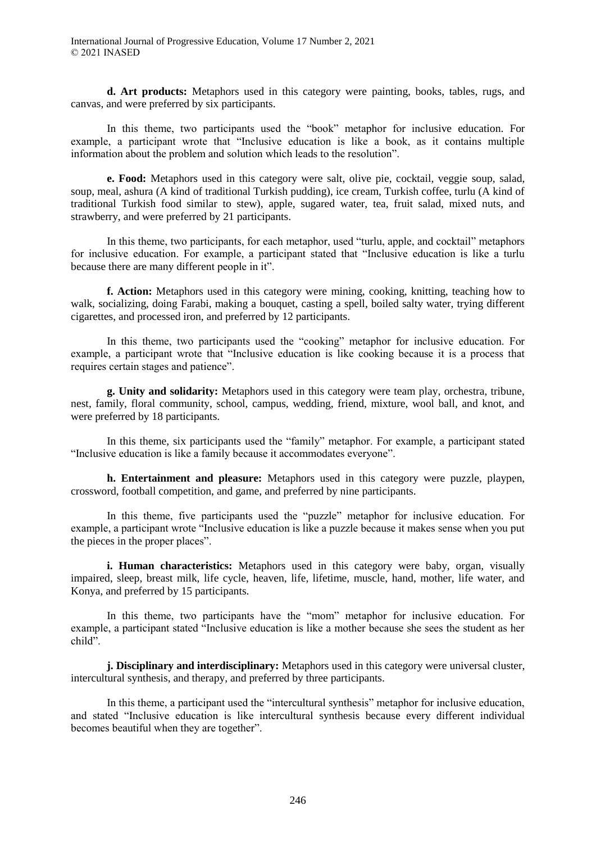**d. Art products:** Metaphors used in this category were painting, books, tables, rugs, and canvas, and were preferred by six participants.

In this theme, two participants used the "book" metaphor for inclusive education. For example, a participant wrote that "Inclusive education is like a book, as it contains multiple information about the problem and solution which leads to the resolution".

**e. Food:** Metaphors used in this category were salt, olive pie, cocktail, veggie soup, salad, soup, meal, ashura (A kind of traditional Turkish pudding), ice cream, Turkish coffee, turlu (A kind of traditional Turkish food similar to stew), apple, sugared water, tea, fruit salad, mixed nuts, and strawberry, and were preferred by 21 participants.

In this theme, two participants, for each metaphor, used "turlu, apple, and cocktail" metaphors for inclusive education. For example, a participant stated that "Inclusive education is like a turlu because there are many different people in it".

**f. Action:** Metaphors used in this category were mining, cooking, knitting, teaching how to walk, socializing, doing Farabi, making a bouquet, casting a spell, boiled salty water, trying different cigarettes, and processed iron, and preferred by 12 participants.

In this theme, two participants used the "cooking" metaphor for inclusive education. For example, a participant wrote that "Inclusive education is like cooking because it is a process that requires certain stages and patience".

**g. Unity and solidarity:** Metaphors used in this category were team play, orchestra, tribune, nest, family, floral community, school, campus, wedding, friend, mixture, wool ball, and knot, and were preferred by 18 participants.

In this theme, six participants used the "family" metaphor. For example, a participant stated "Inclusive education is like a family because it accommodates everyone".

**h. Entertainment and pleasure:** Metaphors used in this category were puzzle, playpen, crossword, football competition, and game, and preferred by nine participants.

In this theme, five participants used the "puzzle" metaphor for inclusive education. For example, a participant wrote "Inclusive education is like a puzzle because it makes sense when you put the pieces in the proper places".

**i. Human characteristics:** Metaphors used in this category were baby, organ, visually impaired, sleep, breast milk, life cycle, heaven, life, lifetime, muscle, hand, mother, life water, and Konya, and preferred by 15 participants.

In this theme, two participants have the "mom" metaphor for inclusive education. For example, a participant stated "Inclusive education is like a mother because she sees the student as her child".

**j. Disciplinary and interdisciplinary:** Metaphors used in this category were universal cluster, intercultural synthesis, and therapy, and preferred by three participants.

In this theme, a participant used the "intercultural synthesis" metaphor for inclusive education, and stated "Inclusive education is like intercultural synthesis because every different individual becomes beautiful when they are together".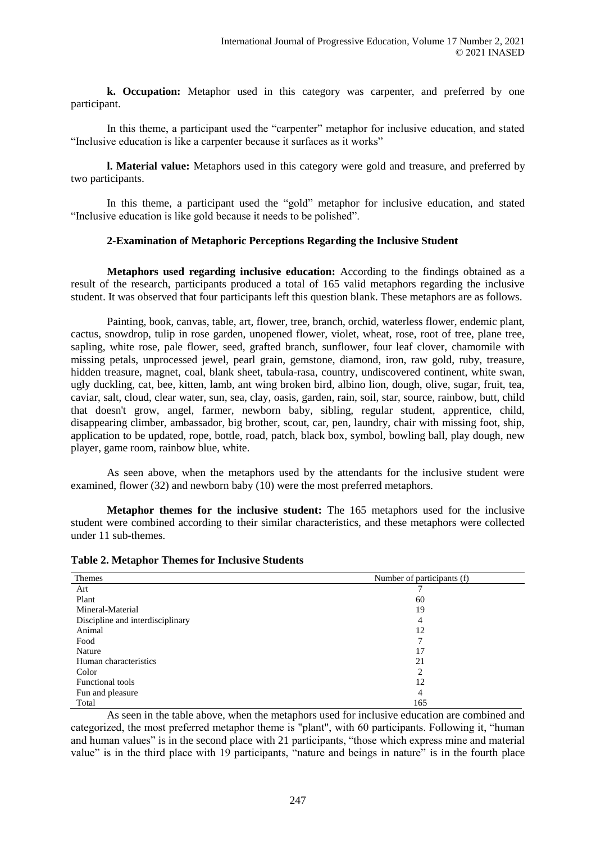**k. Occupation:** Metaphor used in this category was carpenter, and preferred by one participant.

In this theme, a participant used the "carpenter" metaphor for inclusive education, and stated "Inclusive education is like a carpenter because it surfaces as it works"

**l. Material value:** Metaphors used in this category were gold and treasure, and preferred by two participants.

In this theme, a participant used the "gold" metaphor for inclusive education, and stated "Inclusive education is like gold because it needs to be polished".

## **2-Examination of Metaphoric Perceptions Regarding the Inclusive Student**

**Metaphors used regarding inclusive education:** According to the findings obtained as a result of the research, participants produced a total of 165 valid metaphors regarding the inclusive student. It was observed that four participants left this question blank. These metaphors are as follows.

Painting, book, canvas, table, art, flower, tree, branch, orchid, waterless flower, endemic plant, cactus, snowdrop, tulip in rose garden, unopened flower, violet, wheat, rose, root of tree, plane tree, sapling, white rose, pale flower, seed, grafted branch, sunflower, four leaf clover, chamomile with missing petals, unprocessed jewel, pearl grain, gemstone, diamond, iron, raw gold, ruby, treasure, hidden treasure, magnet, coal, blank sheet, tabula-rasa, country, undiscovered continent, white swan, ugly duckling, cat, bee, kitten, lamb, ant wing broken bird, albino lion, dough, olive, sugar, fruit, tea, caviar, salt, cloud, clear water, sun, sea, clay, oasis, garden, rain, soil, star, source, rainbow, butt, child that doesn't grow, angel, farmer, newborn baby, sibling, regular student, apprentice, child, disappearing climber, ambassador, big brother, scout, car, pen, laundry, chair with missing foot, ship, application to be updated, rope, bottle, road, patch, black box, symbol, bowling ball, play dough, new player, game room, rainbow blue, white.

As seen above, when the metaphors used by the attendants for the inclusive student were examined, flower (32) and newborn baby (10) were the most preferred metaphors.

**Metaphor themes for the inclusive student:** The 165 metaphors used for the inclusive student were combined according to their similar characteristics, and these metaphors were collected under 11 sub-themes.

| Themes                           | Number of participants (f) |
|----------------------------------|----------------------------|
| Art                              |                            |
| Plant                            | 60                         |
| Mineral-Material                 | 19                         |
| Discipline and interdisciplinary | 4                          |
| Animal                           | 12                         |
| Food                             |                            |
| Nature                           | 17                         |
| Human characteristics            | 21                         |
| Color                            | $\overline{c}$             |
| <b>Functional tools</b>          | 12                         |
| Fun and pleasure                 | 4                          |
| Total                            | 165                        |

**Table 2. Metaphor Themes for Inclusive Students** 

As seen in the table above, when the metaphors used for inclusive education are combined and categorized, the most preferred metaphor theme is "plant", with 60 participants. Following it, "human and human values" is in the second place with 21 participants, "those which express mine and material value" is in the third place with 19 participants, "nature and beings in nature" is in the fourth place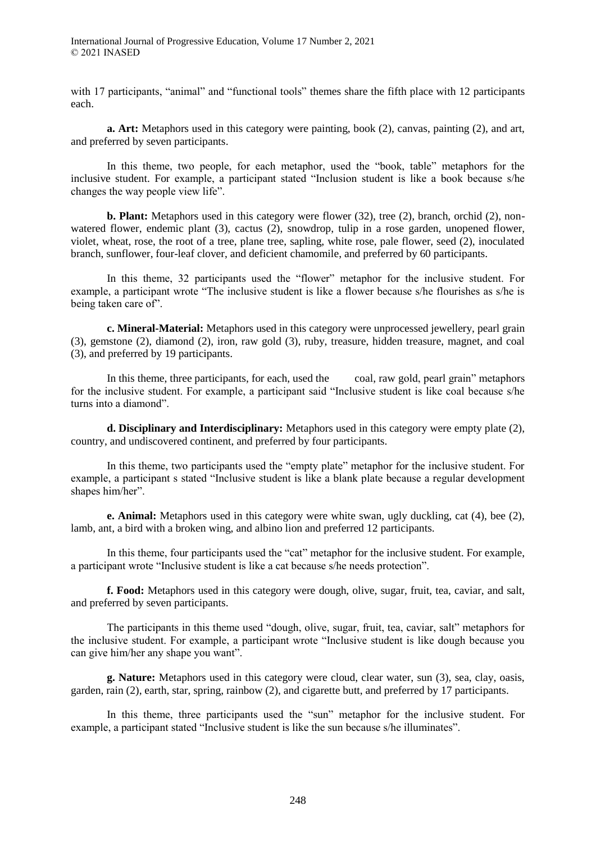with 17 participants, "animal" and "functional tools" themes share the fifth place with 12 participants each.

**a. Art:** Metaphors used in this category were painting, book (2), canvas, painting (2), and art, and preferred by seven participants.

In this theme, two people, for each metaphor, used the "book, table" metaphors for the inclusive student. For example, a participant stated "Inclusion student is like a book because s/he changes the way people view life".

**b. Plant:** Metaphors used in this category were flower (32), tree (2), branch, orchid (2), nonwatered flower, endemic plant (3), cactus (2), snowdrop, tulip in a rose garden, unopened flower, violet, wheat, rose, the root of a tree, plane tree, sapling, white rose, pale flower, seed (2), inoculated branch, sunflower, four-leaf clover, and deficient chamomile, and preferred by 60 participants.

In this theme, 32 participants used the "flower" metaphor for the inclusive student. For example, a participant wrote "The inclusive student is like a flower because s/he flourishes as s/he is being taken care of".

**c. Mineral-Material:** Metaphors used in this category were unprocessed jewellery, pearl grain (3), gemstone (2), diamond (2), iron, raw gold (3), ruby, treasure, hidden treasure, magnet, and coal (3), and preferred by 19 participants.

In this theme, three participants, for each, used the coal, raw gold, pearl grain" metaphors for the inclusive student. For example, a participant said "Inclusive student is like coal because s/he turns into a diamond".

**d. Disciplinary and Interdisciplinary:** Metaphors used in this category were empty plate (2), country, and undiscovered continent, and preferred by four participants.

In this theme, two participants used the "empty plate" metaphor for the inclusive student. For example, a participant s stated "Inclusive student is like a blank plate because a regular development shapes him/her".

**e. Animal:** Metaphors used in this category were white swan, ugly duckling, cat (4), bee (2), lamb, ant, a bird with a broken wing, and albino lion and preferred 12 participants.

In this theme, four participants used the "cat" metaphor for the inclusive student. For example, a participant wrote "Inclusive student is like a cat because s/he needs protection".

**f. Food:** Metaphors used in this category were dough, olive, sugar, fruit, tea, caviar, and salt, and preferred by seven participants.

The participants in this theme used "dough, olive, sugar, fruit, tea, caviar, salt" metaphors for the inclusive student. For example, a participant wrote "Inclusive student is like dough because you can give him/her any shape you want".

**g. Nature:** Metaphors used in this category were cloud, clear water, sun (3), sea, clay, oasis, garden, rain (2), earth, star, spring, rainbow (2), and cigarette butt, and preferred by 17 participants.

In this theme, three participants used the "sun" metaphor for the inclusive student. For example, a participant stated "Inclusive student is like the sun because s/he illuminates".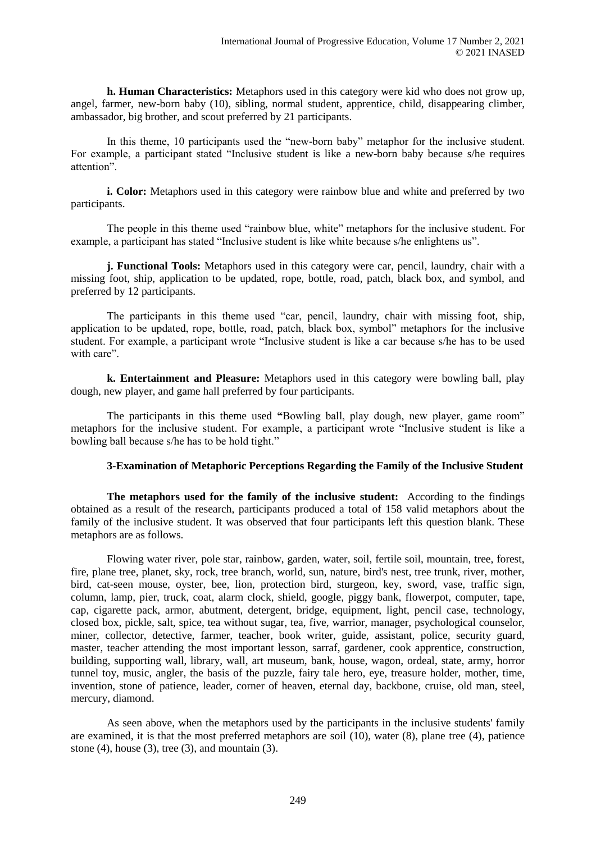**h. Human Characteristics:** Metaphors used in this category were kid who does not grow up, angel, farmer, new-born baby (10), sibling, normal student, apprentice, child, disappearing climber, ambassador, big brother, and scout preferred by 21 participants.

In this theme, 10 participants used the "new-born baby" metaphor for the inclusive student. For example, a participant stated "Inclusive student is like a new-born baby because s/he requires attention".

**i. Color:** Metaphors used in this category were rainbow blue and white and preferred by two participants.

The people in this theme used "rainbow blue, white" metaphors for the inclusive student. For example, a participant has stated "Inclusive student is like white because s/he enlightens us".

**j. Functional Tools:** Metaphors used in this category were car, pencil, laundry, chair with a missing foot, ship, application to be updated, rope, bottle, road, patch, black box, and symbol, and preferred by 12 participants.

The participants in this theme used "car, pencil, laundry, chair with missing foot, ship, application to be updated, rope, bottle, road, patch, black box, symbol" metaphors for the inclusive student. For example, a participant wrote "Inclusive student is like a car because s/he has to be used with care".

**k. Entertainment and Pleasure:** Metaphors used in this category were bowling ball, play dough, new player, and game hall preferred by four participants.

The participants in this theme used **"**Bowling ball, play dough, new player, game room" metaphors for the inclusive student. For example, a participant wrote "Inclusive student is like a bowling ball because s/he has to be hold tight."

## **3-Examination of Metaphoric Perceptions Regarding the Family of the Inclusive Student**

**The metaphors used for the family of the inclusive student:** According to the findings obtained as a result of the research, participants produced a total of 158 valid metaphors about the family of the inclusive student. It was observed that four participants left this question blank. These metaphors are as follows.

Flowing water river, pole star, rainbow, garden, water, soil, fertile soil, mountain, tree, forest, fire, plane tree, planet, sky, rock, tree branch, world, sun, nature, bird's nest, tree trunk, river, mother, bird, cat-seen mouse, oyster, bee, lion, protection bird, sturgeon, key, sword, vase, traffic sign, column, lamp, pier, truck, coat, alarm clock, shield, google, piggy bank, flowerpot, computer, tape, cap, cigarette pack, armor, abutment, detergent, bridge, equipment, light, pencil case, technology, closed box, pickle, salt, spice, tea without sugar, tea, five, warrior, manager, psychological counselor, miner, collector, detective, farmer, teacher, book writer, guide, assistant, police, security guard, master, teacher attending the most important lesson, sarraf, gardener, cook apprentice, construction, building, supporting wall, library, wall, art museum, bank, house, wagon, ordeal, state, army, horror tunnel toy, music, angler, the basis of the puzzle, fairy tale hero, eye, treasure holder, mother, time, invention, stone of patience, leader, corner of heaven, eternal day, backbone, cruise, old man, steel, mercury, diamond.

As seen above, when the metaphors used by the participants in the inclusive students' family are examined, it is that the most preferred metaphors are soil (10), water (8), plane tree (4), patience stone  $(4)$ , house  $(3)$ , tree  $(3)$ , and mountain  $(3)$ .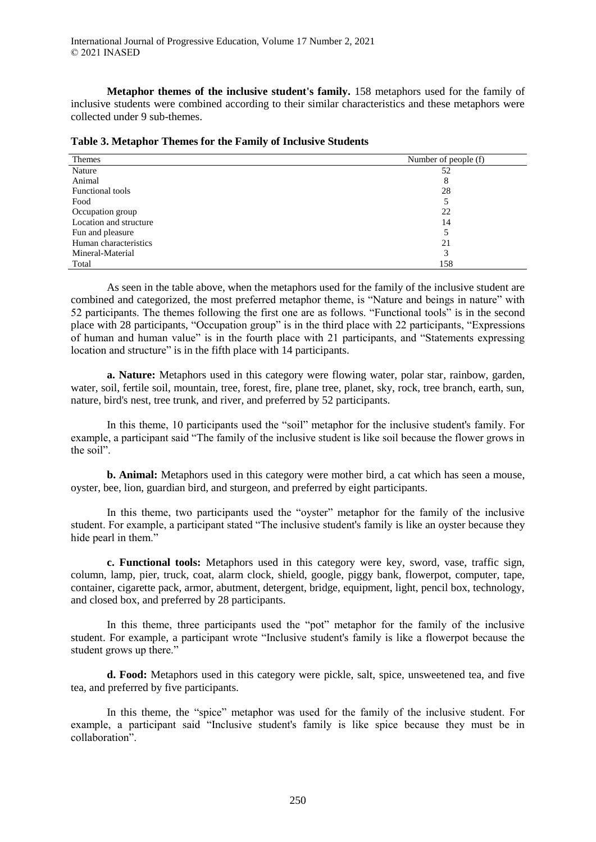**Metaphor themes of the inclusive student's family.** 158 metaphors used for the family of inclusive students were combined according to their similar characteristics and these metaphors were collected under 9 sub-themes.

| Themes                  | Number of people (f) |
|-------------------------|----------------------|
| Nature                  | 52                   |
| Animal                  | 8                    |
| <b>Functional tools</b> | 28                   |
| Food                    |                      |
| Occupation group        | 22                   |
| Location and structure  | 14                   |
| Fun and pleasure        |                      |
| Human characteristics   | 21                   |
| Mineral-Material        | 3                    |
| Total                   | 158                  |

**Table 3. Metaphor Themes for the Family of Inclusive Students** 

As seen in the table above, when the metaphors used for the family of the inclusive student are combined and categorized, the most preferred metaphor theme, is "Nature and beings in nature" with 52 participants. The themes following the first one are as follows. "Functional tools" is in the second place with 28 participants, "Occupation group" is in the third place with 22 participants, "Expressions of human and human value" is in the fourth place with 21 participants, and "Statements expressing location and structure" is in the fifth place with 14 participants.

**a. Nature:** Metaphors used in this category were flowing water, polar star, rainbow, garden, water, soil, fertile soil, mountain, tree, forest, fire, plane tree, planet, sky, rock, tree branch, earth, sun, nature, bird's nest, tree trunk, and river, and preferred by 52 participants.

In this theme, 10 participants used the "soil" metaphor for the inclusive student's family. For example, a participant said "The family of the inclusive student is like soil because the flower grows in the soil".

**b. Animal:** Metaphors used in this category were mother bird, a cat which has seen a mouse, oyster, bee, lion, guardian bird, and sturgeon, and preferred by eight participants.

In this theme, two participants used the "oyster" metaphor for the family of the inclusive student. For example, a participant stated "The inclusive student's family is like an oyster because they hide pearl in them."

**c. Functional tools:** Metaphors used in this category were key, sword, vase, traffic sign, column, lamp, pier, truck, coat, alarm clock, shield, google, piggy bank, flowerpot, computer, tape, container, cigarette pack, armor, abutment, detergent, bridge, equipment, light, pencil box, technology, and closed box, and preferred by 28 participants.

In this theme, three participants used the "pot" metaphor for the family of the inclusive student. For example, a participant wrote "Inclusive student's family is like a flowerpot because the student grows up there."

**d. Food:** Metaphors used in this category were pickle, salt, spice, unsweetened tea, and five tea, and preferred by five participants.

In this theme, the "spice" metaphor was used for the family of the inclusive student. For example, a participant said "Inclusive student's family is like spice because they must be in collaboration".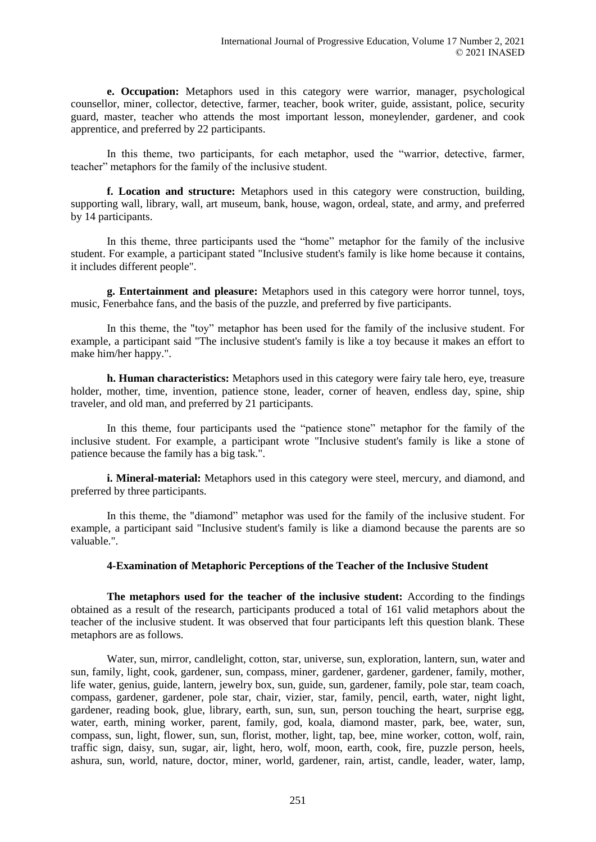**e. Occupation:** Metaphors used in this category were warrior, manager, psychological counsellor, miner, collector, detective, farmer, teacher, book writer, guide, assistant, police, security guard, master, teacher who attends the most important lesson, moneylender, gardener, and cook apprentice, and preferred by 22 participants.

In this theme, two participants, for each metaphor, used the "warrior, detective, farmer, teacher" metaphors for the family of the inclusive student.

**f. Location and structure:** Metaphors used in this category were construction, building, supporting wall, library, wall, art museum, bank, house, wagon, ordeal, state, and army, and preferred by 14 participants.

In this theme, three participants used the "home" metaphor for the family of the inclusive student. For example, a participant stated "Inclusive student's family is like home because it contains, it includes different people".

**g. Entertainment and pleasure:** Metaphors used in this category were horror tunnel, toys, music, Fenerbahce fans, and the basis of the puzzle, and preferred by five participants.

In this theme, the "toy" metaphor has been used for the family of the inclusive student. For example, a participant said "The inclusive student's family is like a toy because it makes an effort to make him/her happy.".

**h. Human characteristics:** Metaphors used in this category were fairy tale hero, eye, treasure holder, mother, time, invention, patience stone, leader, corner of heaven, endless day, spine, ship traveler, and old man, and preferred by 21 participants.

In this theme, four participants used the "patience stone" metaphor for the family of the inclusive student. For example, a participant wrote "Inclusive student's family is like a stone of patience because the family has a big task.".

**i. Mineral-material:** Metaphors used in this category were steel, mercury, and diamond, and preferred by three participants.

In this theme, the "diamond" metaphor was used for the family of the inclusive student. For example, a participant said "Inclusive student's family is like a diamond because the parents are so valuable.".

## **4-Examination of Metaphoric Perceptions of the Teacher of the Inclusive Student**

**The metaphors used for the teacher of the inclusive student:** According to the findings obtained as a result of the research, participants produced a total of 161 valid metaphors about the teacher of the inclusive student. It was observed that four participants left this question blank. These metaphors are as follows.

Water, sun, mirror, candlelight, cotton, star, universe, sun, exploration, lantern, sun, water and sun, family, light, cook, gardener, sun, compass, miner, gardener, gardener, gardener, family, mother, life water, genius, guide, lantern, jewelry box, sun, guide, sun, gardener, family, pole star, team coach, compass, gardener, gardener, pole star, chair, vizier, star, family, pencil, earth, water, night light, gardener, reading book, glue, library, earth, sun, sun, sun, person touching the heart, surprise egg, water, earth, mining worker, parent, family, god, koala, diamond master, park, bee, water, sun, compass, sun, light, flower, sun, sun, florist, mother, light, tap, bee, mine worker, cotton, wolf, rain, traffic sign, daisy, sun, sugar, air, light, hero, wolf, moon, earth, cook, fire, puzzle person, heels, ashura, sun, world, nature, doctor, miner, world, gardener, rain, artist, candle, leader, water, lamp,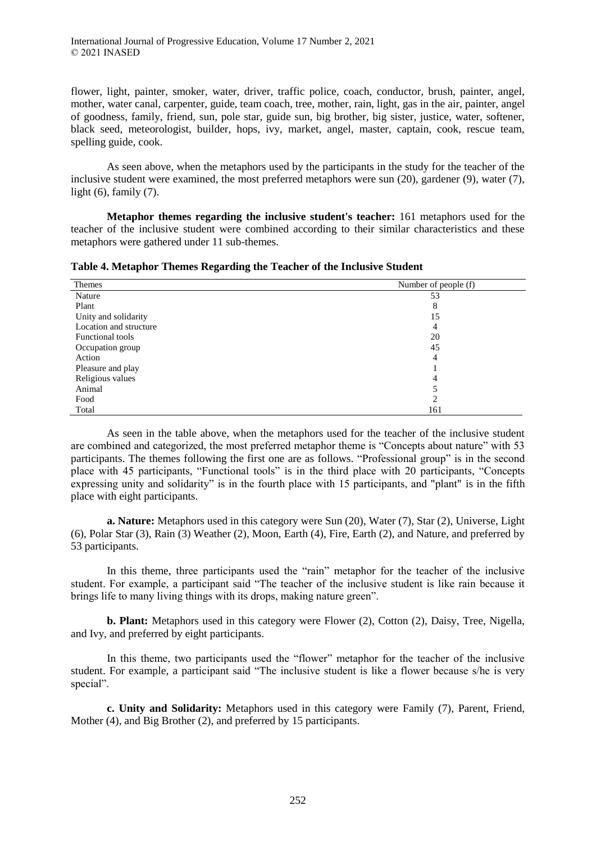flower, light, painter, smoker, water, driver, traffic police, coach, conductor, brush, painter, angel, mother, water canal, carpenter, guide, team coach, tree, mother, rain, light, gas in the air, painter, angel of goodness, family, friend, sun, pole star, guide sun, big brother, big sister, justice, water, softener, black seed, meteorologist, builder, hops, ivy, market, angel, master, captain, cook, rescue team, spelling guide, cook.

As seen above, when the metaphors used by the participants in the study for the teacher of the inclusive student were examined, the most preferred metaphors were sun (20), gardener (9), water (7), light  $(6)$ , family  $(7)$ .

**Metaphor themes regarding the inclusive student's teacher:** 161 metaphors used for the teacher of the inclusive student were combined according to their similar characteristics and these metaphors were gathered under 11 sub-themes.

| Table 4. Metaphor Themes Regarding the Teacher of the Inclusive Student |                      |
|-------------------------------------------------------------------------|----------------------|
| <b>Themes</b>                                                           | Number of people (f) |
|                                                                         |                      |

| <i>i</i> ileliles      | Number of beople (1) |
|------------------------|----------------------|
| Nature                 | 53                   |
| Plant                  | 8                    |
| Unity and solidarity   | 15                   |
| Location and structure | 4                    |
| Functional tools       | 20                   |
| Occupation group       | 45                   |
| Action                 | 4                    |
| Pleasure and play      |                      |
| Religious values       | 4                    |
| Animal                 |                      |
| Food                   | 2                    |
| Total                  | 161                  |

As seen in the table above, when the metaphors used for the teacher of the inclusive student are combined and categorized, the most preferred metaphor theme is "Concepts about nature" with 53 participants. The themes following the first one are as follows. "Professional group" is in the second place with 45 participants, "Functional tools" is in the third place with 20 participants, "Concepts expressing unity and solidarity" is in the fourth place with 15 participants, and "plant" is in the fifth place with eight participants.

**a. Nature:** Metaphors used in this category were Sun (20), Water (7), Star (2), Universe, Light (6), Polar Star (3), Rain (3) Weather (2), Moon, Earth (4), Fire, Earth (2), and Nature, and preferred by 53 participants.

In this theme, three participants used the "rain" metaphor for the teacher of the inclusive student. For example, a participant said "The teacher of the inclusive student is like rain because it brings life to many living things with its drops, making nature green".

**b. Plant:** Metaphors used in this category were Flower (2), Cotton (2), Daisy, Tree, Nigella, and Ivy, and preferred by eight participants.

In this theme, two participants used the "flower" metaphor for the teacher of the inclusive student. For example, a participant said "The inclusive student is like a flower because s/he is very special".

**c. Unity and Solidarity:** Metaphors used in this category were Family (7), Parent, Friend, Mother (4), and Big Brother (2), and preferred by 15 participants.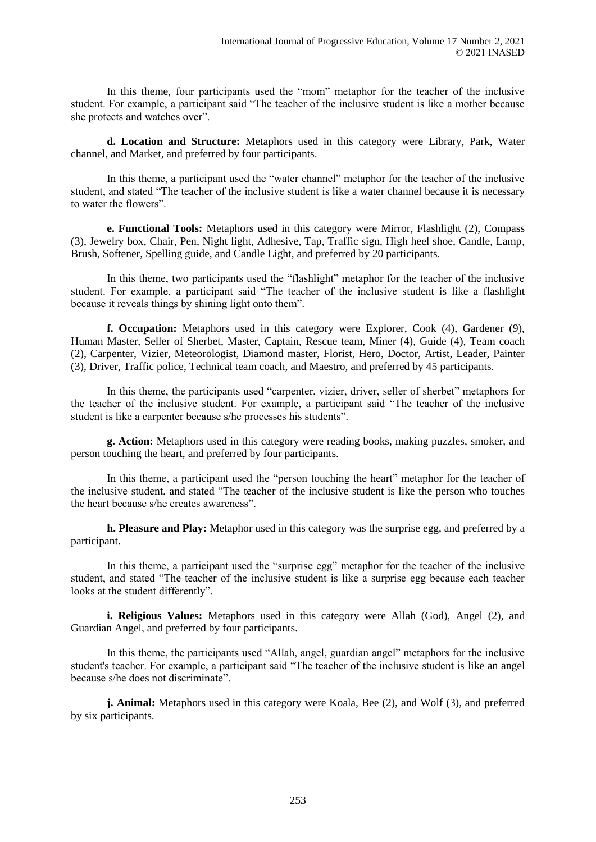In this theme, four participants used the "mom" metaphor for the teacher of the inclusive student. For example, a participant said "The teacher of the inclusive student is like a mother because she protects and watches over".

**d. Location and Structure:** Metaphors used in this category were Library, Park, Water channel, and Market, and preferred by four participants.

In this theme, a participant used the "water channel" metaphor for the teacher of the inclusive student, and stated "The teacher of the inclusive student is like a water channel because it is necessary to water the flowers".

**e. Functional Tools:** Metaphors used in this category were Mirror, Flashlight (2), Compass (3), Jewelry box, Chair, Pen, Night light, Adhesive, Tap, Traffic sign, High heel shoe, Candle, Lamp, Brush, Softener, Spelling guide, and Candle Light, and preferred by 20 participants.

In this theme, two participants used the "flashlight" metaphor for the teacher of the inclusive student. For example, a participant said "The teacher of the inclusive student is like a flashlight because it reveals things by shining light onto them".

**f. Occupation:** Metaphors used in this category were Explorer, Cook (4), Gardener (9), Human Master, Seller of Sherbet, Master, Captain, Rescue team, Miner (4), Guide (4), Team coach (2), Carpenter, Vizier, Meteorologist, Diamond master, Florist, Hero, Doctor, Artist, Leader, Painter (3), Driver, Traffic police, Technical team coach, and Maestro, and preferred by 45 participants.

In this theme, the participants used "carpenter, vizier, driver, seller of sherbet" metaphors for the teacher of the inclusive student. For example, a participant said "The teacher of the inclusive student is like a carpenter because s/he processes his students".

**g. Action:** Metaphors used in this category were reading books, making puzzles, smoker, and person touching the heart, and preferred by four participants.

In this theme, a participant used the "person touching the heart" metaphor for the teacher of the inclusive student, and stated "The teacher of the inclusive student is like the person who touches the heart because s/he creates awareness".

**h. Pleasure and Play:** Metaphor used in this category was the surprise egg, and preferred by a participant.

In this theme, a participant used the "surprise egg" metaphor for the teacher of the inclusive student, and stated "The teacher of the inclusive student is like a surprise egg because each teacher looks at the student differently".

**i. Religious Values:** Metaphors used in this category were Allah (God), Angel (2), and Guardian Angel, and preferred by four participants.

In this theme, the participants used "Allah, angel, guardian angel" metaphors for the inclusive student's teacher. For example, a participant said "The teacher of the inclusive student is like an angel because s/he does not discriminate".

**j. Animal:** Metaphors used in this category were Koala, Bee (2), and Wolf (3), and preferred by six participants.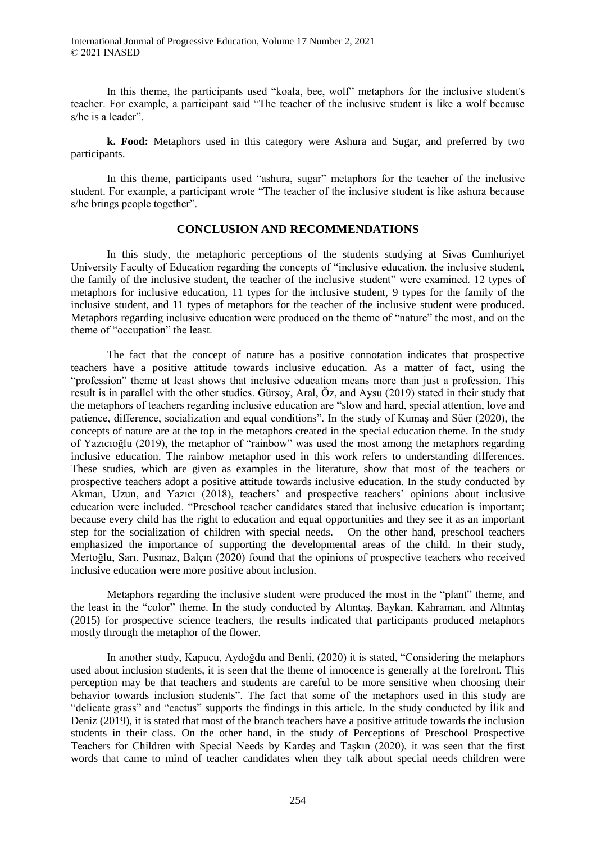International Journal of Progressive Education, Volume 17 Number 2, 2021 © 2021 INASED

In this theme, the participants used "koala, bee, wolf" metaphors for the inclusive student's teacher. For example, a participant said "The teacher of the inclusive student is like a wolf because s/he is a leader".

**k. Food:** Metaphors used in this category were Ashura and Sugar, and preferred by two participants.

In this theme, participants used "ashura, sugar" metaphors for the teacher of the inclusive student. For example, a participant wrote "The teacher of the inclusive student is like ashura because s/he brings people together".

## **CONCLUSION AND RECOMMENDATIONS**

In this study, the metaphoric perceptions of the students studying at Sivas Cumhuriyet University Faculty of Education regarding the concepts of "inclusive education, the inclusive student, the family of the inclusive student, the teacher of the inclusive student" were examined. 12 types of metaphors for inclusive education, 11 types for the inclusive student, 9 types for the family of the inclusive student, and 11 types of metaphors for the teacher of the inclusive student were produced. Metaphors regarding inclusive education were produced on the theme of "nature" the most, and on the theme of "occupation" the least.

The fact that the concept of nature has a positive connotation indicates that prospective teachers have a positive attitude towards inclusive education. As a matter of fact, using the "profession" theme at least shows that inclusive education means more than just a profession. This result is in parallel with the other studies. Gürsoy, Aral, Öz, and Aysu (2019) stated in their study that the metaphors of teachers regarding inclusive education are "slow and hard, special attention, love and patience, difference, socialization and equal conditions". In the study of Kumaş and Süer (2020), the concepts of nature are at the top in the metaphors created in the special education theme. In the study of Yazıcıoğlu (2019), the metaphor of "rainbow" was used the most among the metaphors regarding inclusive education. The rainbow metaphor used in this work refers to understanding differences. These studies, which are given as examples in the literature, show that most of the teachers or prospective teachers adopt a positive attitude towards inclusive education. In the study conducted by Akman, Uzun, and Yazıcı (2018), teachers' and prospective teachers' opinions about inclusive education were included. "Preschool teacher candidates stated that inclusive education is important; because every child has the right to education and equal opportunities and they see it as an important step for the socialization of children with special needs. On the other hand, preschool teachers emphasized the importance of supporting the developmental areas of the child. In their study, Mertoğlu, Sarı, Pusmaz, Balçın (2020) found that the opinions of prospective teachers who received inclusive education were more positive about inclusion.

Metaphors regarding the inclusive student were produced the most in the "plant" theme, and the least in the "color" theme. In the study conducted by Altıntaş, Baykan, Kahraman, and Altıntaş (2015) for prospective science teachers, the results indicated that participants produced metaphors mostly through the metaphor of the flower.

In another study, Kapucu, Aydoğdu and Benli, (2020) it is stated, "Considering the metaphors used about inclusion students, it is seen that the theme of innocence is generally at the forefront. This perception may be that teachers and students are careful to be more sensitive when choosing their behavior towards inclusion students". The fact that some of the metaphors used in this study are "delicate grass" and "cactus" supports the findings in this article. In the study conducted by İlik and Deniz (2019), it is stated that most of the branch teachers have a positive attitude towards the inclusion students in their class. On the other hand, in the study of Perceptions of Preschool Prospective Teachers for Children with Special Needs by Kardeş and Taşkın (2020), it was seen that the first words that came to mind of teacher candidates when they talk about special needs children were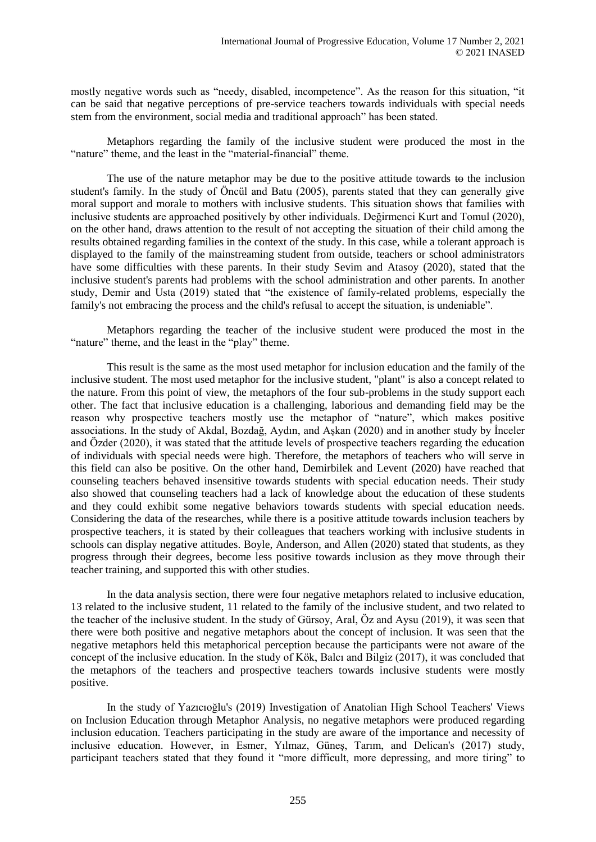mostly negative words such as "needy, disabled, incompetence". As the reason for this situation, "it can be said that negative perceptions of pre-service teachers towards individuals with special needs stem from the environment, social media and traditional approach" has been stated.

Metaphors regarding the family of the inclusive student were produced the most in the "nature" theme, and the least in the "material-financial" theme.

The use of the nature metaphor may be due to the positive attitude towards to the inclusion student's family. In the study of Öncül and Batu (2005), parents stated that they can generally give moral support and morale to mothers with inclusive students. This situation shows that families with inclusive students are approached positively by other individuals. Değirmenci Kurt and Tomul (2020), on the other hand, draws attention to the result of not accepting the situation of their child among the results obtained regarding families in the context of the study. In this case, while a tolerant approach is displayed to the family of the mainstreaming student from outside, teachers or school administrators have some difficulties with these parents. In their study Sevim and Atasoy (2020), stated that the inclusive student's parents had problems with the school administration and other parents. In another study, Demir and Usta (2019) stated that "the existence of family-related problems, especially the family's not embracing the process and the child's refusal to accept the situation, is undeniable".

Metaphors regarding the teacher of the inclusive student were produced the most in the "nature" theme, and the least in the "play" theme.

This result is the same as the most used metaphor for inclusion education and the family of the inclusive student. The most used metaphor for the inclusive student, "plant" is also a concept related to the nature. From this point of view, the metaphors of the four sub-problems in the study support each other. The fact that inclusive education is a challenging, laborious and demanding field may be the reason why prospective teachers mostly use the metaphor of "nature", which makes positive associations. In the study of Akdal, Bozdağ, Aydın, and Aşkan (2020) and in another study by İnceler and Özder (2020), it was stated that the attitude levels of prospective teachers regarding the education of individuals with special needs were high. Therefore, the metaphors of teachers who will serve in this field can also be positive. On the other hand, Demirbilek and Levent (2020) have reached that counseling teachers behaved insensitive towards students with special education needs. Their study also showed that counseling teachers had a lack of knowledge about the education of these students and they could exhibit some negative behaviors towards students with special education needs. Considering the data of the researches, while there is a positive attitude towards inclusion teachers by prospective teachers, it is stated by their colleagues that teachers working with inclusive students in schools can display negative attitudes. Boyle, Anderson, and Allen (2020) stated that students, as they progress through their degrees, become less positive towards inclusion as they move through their teacher training, and supported this with other studies.

In the data analysis section, there were four negative metaphors related to inclusive education, 13 related to the inclusive student, 11 related to the family of the inclusive student, and two related to the teacher of the inclusive student. In the study of Gürsoy, Aral, Öz and Aysu (2019), it was seen that there were both positive and negative metaphors about the concept of inclusion. It was seen that the negative metaphors held this metaphorical perception because the participants were not aware of the concept of the inclusive education. In the study of Kök, Balcı and Bilgiz (2017), it was concluded that the metaphors of the teachers and prospective teachers towards inclusive students were mostly positive.

In the study of Yazıcıoğlu's (2019) Investigation of Anatolian High School Teachers' Views on Inclusion Education through Metaphor Analysis, no negative metaphors were produced regarding inclusion education. Teachers participating in the study are aware of the importance and necessity of inclusive education. However, in Esmer, Yılmaz, Güneş, Tarım, and Delican's (2017) study, participant teachers stated that they found it "more difficult, more depressing, and more tiring" to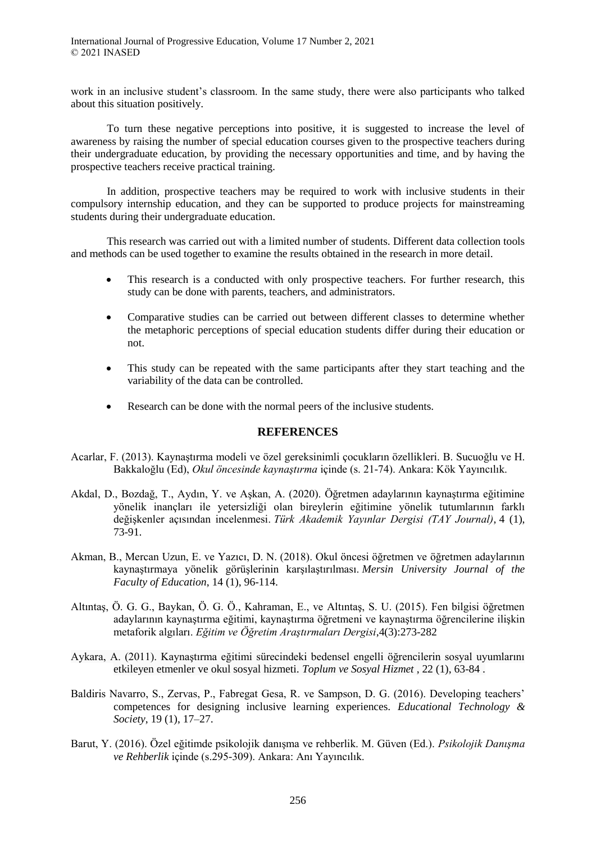work in an inclusive student's classroom. In the same study, there were also participants who talked about this situation positively.

To turn these negative perceptions into positive, it is suggested to increase the level of awareness by raising the number of special education courses given to the prospective teachers during their undergraduate education, by providing the necessary opportunities and time, and by having the prospective teachers receive practical training.

In addition, prospective teachers may be required to work with inclusive students in their compulsory internship education, and they can be supported to produce projects for mainstreaming students during their undergraduate education.

This research was carried out with a limited number of students. Different data collection tools and methods can be used together to examine the results obtained in the research in more detail.

- This research is a conducted with only prospective teachers. For further research, this study can be done with parents, teachers, and administrators.
- Comparative studies can be carried out between different classes to determine whether the metaphoric perceptions of special education students differ during their education or not.
- This study can be repeated with the same participants after they start teaching and the variability of the data can be controlled.
- Research can be done with the normal peers of the inclusive students.

## **REFERENCES**

- Acarlar, F. (2013). Kaynaştırma modeli ve özel gereksinimli çocukların özellikleri. B. Sucuoğlu ve H. Bakkaloğlu (Ed), *Okul öncesinde kaynaştırma* içinde (s. 21-74). Ankara: Kök Yayıncılık.
- Akdal, D., Bozdağ, T., Aydın, Y. ve Aşkan, A. (2020). Öğretmen adaylarının kaynaştırma eğitimine yönelik inançları ile yetersizliği olan bireylerin eğitimine yönelik tutumlarının farklı değişkenler açısından incelenmesi. *Türk Akademik Yayınlar Dergisi (TAY Journal)*, 4 (1), 73-91.
- Akman, B., Mercan Uzun, E. ve Yazıcı, D. N. (2018). Okul öncesi öğretmen ve öğretmen adaylarının kaynaştırmaya yönelik görüşlerinin karşılaştırılması. *Mersin University Journal of the Faculty of Education*, 14 (1), 96-114.
- Altıntaş, Ö. G. G., Baykan, Ö. G. Ö., Kahraman, E., ve Altıntaş, S. U. (2015). Fen bilgisi öğretmen adaylarının kaynaştırma eğitimi, kaynaştırma öğretmeni ve kaynaştırma öğrencilerine ilişkin metaforik algıları. *Eğitim ve Öğretim Araştırmaları Dergisi*,4(3):273-282
- Aykara, A. (2011). Kaynaştırma eğitimi sürecindeki bedensel engelli öğrencilerin sosyal uyumlarını etkileyen etmenler ve okul sosyal hizmeti. *Toplum ve Sosyal Hizmet* , 22 (1), 63-84 .
- Baldiris Navarro, S., Zervas, P., Fabregat Gesa, R. ve Sampson, D. G. (2016). Developing teachers' competences for designing inclusive learning experiences. *Educational Technology & Society*, 19 (1), 17–27.
- Barut, Y. (2016). Özel eğitimde psikolojik danışma ve rehberlik. M. Güven (Ed.). *Psikolojik Danışma ve Rehberlik* içinde (s.295-309). Ankara: Anı Yayıncılık.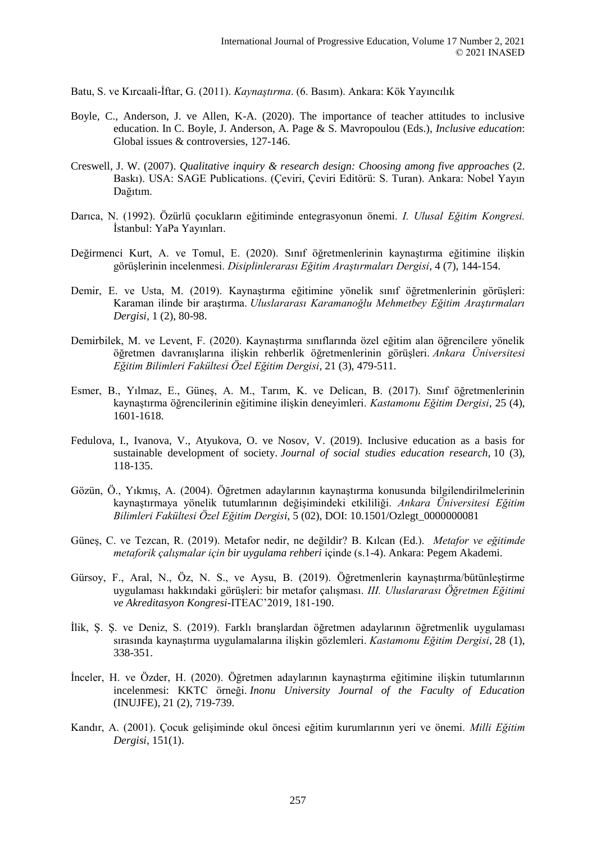Batu, S. ve Kırcaali-İftar, G. (2011). *Kaynaştırma*. (6. Basım). Ankara: Kök Yayıncılık

- Boyle, C., Anderson, J. ve Allen, K-A. (2020). The importance of teacher attitudes to inclusive education. In C. Boyle, J. Anderson, A. Page & S. Mavropoulou (Eds.), *Inclusive education*: Global issues & controversies, 127-146.
- Creswell, J. W. (2007). *Qualitative inquiry & research design: Choosing among five approaches* (2. Baskı). USA: SAGE Publications. (Çeviri, Çeviri Editörü: S. Turan). Ankara: Nobel Yayın Dağıtım.
- Darıca, N. (1992). Özürlü çocukların eğitiminde entegrasyonun önemi. *I. Ulusal Eğitim Kongresi.* İstanbul: YaPa Yayınları.
- Değirmenci Kurt, A. ve Tomul, E. (2020). Sınıf öğretmenlerinin kaynaştırma eğitimine ilişkin görüşlerinin incelenmesi. *Disiplinlerarası Eğitim Araştırmaları Dergisi*, 4 (7), 144-154.
- Demir, E. ve Usta, M. (2019). Kaynaştırma eğitimine yönelik sınıf öğretmenlerinin görüşleri: Karaman ilinde bir araştırma. *Uluslararası Karamanoğlu Mehmetbey Eğitim Araştırmaları Dergisi,* 1 (2), 80-98.
- Demirbilek, M. ve Levent, F. (2020). Kaynaştırma sınıflarında özel eğitim alan öğrencilere yönelik öğretmen davranışlarına ilişkin rehberlik öğretmenlerinin görüşleri. *Ankara Üniversitesi Eğitim Bilimleri Fakültesi Özel Eğitim Dergisi,* 21 (3), 479-511.
- Esmer, B., Yılmaz, E., Günes, A. M., Tarım, K. ve Delican, B. (2017). Sınıf öğretmenlerinin kaynaştırma öğrencilerinin eğitimine ilişkin deneyimleri. *Kastamonu Eğitim Dergisi*, 25 (4), 1601-1618.
- Fedulova, I., Ivanova, V., Atyukova, O. ve Nosov, V. (2019). Inclusive education as a basis for sustainable development of society. *Journal of social studies education research*, 10 (3), 118-135.
- Gözün, Ö., Yıkmış, A. (2004). Öğretmen adaylarının kaynaştırma konusunda bilgilendirilmelerinin kaynaştırmaya yönelik tutumlarının değişimindeki etkililiği. *Ankara Üniversitesi Eğitim Bilimleri Fakültesi Özel Eğitim Dergisi*, 5 (02), DOI: 10.1501/Ozlegt\_0000000081
- Güneş, C. ve Tezcan, R. (2019). Metafor nedir, ne değildir? B. Kılcan (Ed.). *Metafor ve eğitimde metaforik çalışmalar için bir uygulama rehberi* içinde (s.1-4). Ankara: Pegem Akademi.
- Gürsoy, F., Aral, N., Öz, N. S., ve Aysu, B. (2019). Öğretmenlerin kaynaştırma/bütünleştirme uygulaması hakkındaki görüşleri: bir metafor çalışması. *III. Uluslararası Öğretmen Eğitimi ve Akreditasyon Kongresi-*ITEAC'2019, 181-190.
- İlik, Ş. Ş. ve Deniz, S. (2019). Farklı branşlardan öğretmen adaylarının öğretmenlik uygulaması sırasında kaynaştırma uygulamalarına ilişkin gözlemleri. *Kastamonu Eğitim Dergisi*, 28 (1), 338-351.
- İnceler, H. ve Özder, H. (2020). Öğretmen adaylarının kaynaştırma eğitimine ilişkin tutumlarının incelenmesi: KKTC örneği. *Inonu University Journal of the Faculty of Education*  (INUJFE), 21 (2), 719-739.
- Kandır, A. (2001). Çocuk gelişiminde okul öncesi eğitim kurumlarının yeri ve önemi. *Milli Eğitim Dergisi*, 151(1).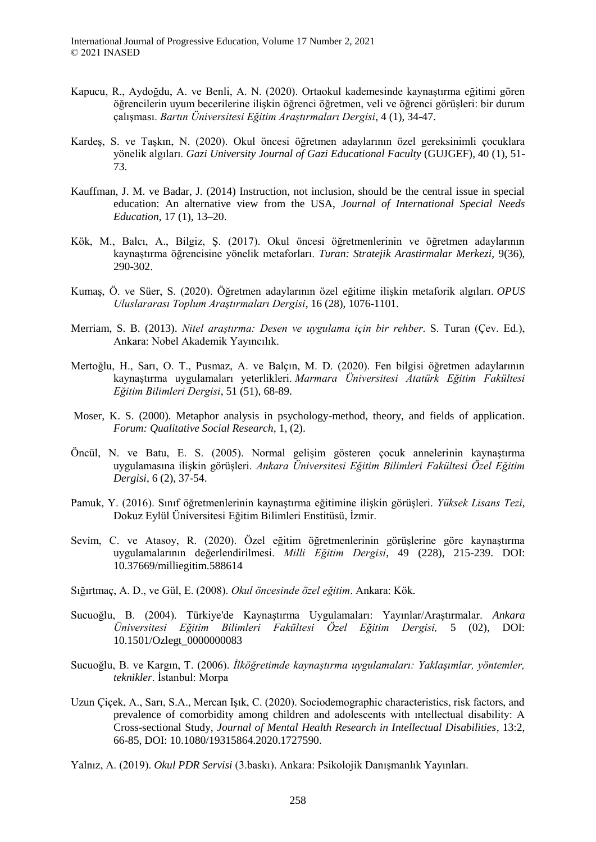- Kapucu, R., Aydoğdu, A. ve Benli, A. N. (2020). Ortaokul kademesinde kaynaştırma eğitimi gören öğrencilerin uyum becerilerine ilişkin öğrenci öğretmen, veli ve öğrenci görüşleri: bir durum çalışması. *Bartın Üniversitesi Eğitim Araştırmaları Dergisi*, 4 (1), 34-47.
- Kardeş, S. ve Taşkın, N. (2020). Okul öncesi öğretmen adaylarının özel gereksinimli çocuklara yönelik algıları. *Gazi University Journal of Gazi Educational Faculty* (GUJGEF), 40 (1), 51- 73.
- Kauffman, J. M. ve Badar, J. (2014) Instruction, not inclusion, should be the central issue in special education: An alternative view from the USA, *Journal of International Special Needs Education*, 17 (1), 13–20.
- Kök, M., Balcı, A., Bilgiz, Ş. (2017). Okul öncesi öğretmenlerinin ve öğretmen adaylarının kaynaştırma öğrencisine yönelik metaforları. *Turan: Stratejik Arastirmalar Merkezi*, 9(36), 290-302.
- Kumaş, Ö. ve Süer, S. (2020). Öğretmen adaylarının özel eğitime ilişkin metaforik algıları. *OPUS Uluslararası Toplum Araştırmaları Dergisi*, 16 (28), 1076-1101.
- Merriam, S. B. (2013). *Nitel araştırma: Desen ve uygulama için bir rehber*. S. Turan (Çev. Ed.), Ankara: Nobel Akademik Yayıncılık.
- Mertoğlu, H., Sarı, O. T., Pusmaz, A. ve Balçın, M. D. (2020). Fen bilgisi öğretmen adaylarının kaynaştırma uygulamaları yeterlikleri. *Marmara Üniversitesi Atatürk Eğitim Fakültesi Eğitim Bilimleri Dergisi*, 51 (51), 68-89.
- Moser, K. S. (2000). Metaphor analysis in psychology-method, theory, and fields of application. *Forum: Qualitative Social Research*, 1, (2).
- Öncül, N. ve Batu, E. S. (2005). Normal gelişim gösteren çocuk annelerinin kaynaştırma uygulamasına ilişkin görüşleri. *Ankara Üniversitesi Eğitim Bilimleri Fakültesi Özel Eğitim Dergisi*, 6 (2), 37-54.
- Pamuk, Y. (2016). Sınıf öğretmenlerinin kaynaştırma eğitimine ilişkin görüşleri. *Yüksek Lisans Tezi*, Dokuz Eylül Üniversitesi Eğitim Bilimleri Enstitüsü, İzmir.
- Sevim, C. ve Atasoy, R. (2020). Özel eğitim öğretmenlerinin görüşlerine göre kaynaştırma uygulamalarının değerlendirilmesi. *Milli Eğitim Dergisi*, 49 (228), 215-239. DOI: 10.37669/milliegitim.588614
- Sığırtmaç, A. D., ve Gül, E. (2008). *Okul öncesinde özel eğitim*. Ankara: Kök.
- Sucuoğlu, B. (2004). Türkiye'de Kaynaştırma Uygulamaları: Yayınlar/Araştırmalar. *Ankara Üniversitesi Eğitim Bilimleri Fakültesi Özel Eğitim Dergisi,* 5 (02), DOI: 10.1501/Ozlegt\_0000000083
- Sucuoğlu, B. ve Kargın, T. (2006). *İlköğretimde kaynaştırma uygulamaları: Yaklaşımlar, yöntemler, teknikler*. İstanbul: Morpa
- Uzun Çiçek, A., Sarı, S.A., Mercan Işık, C. (2020). Sociodemographic characteristics, risk factors, and prevalence of comorbidity among children and adolescents with ıntellectual disability: A Cross-sectional Study, *Journal of Mental Health Research in Intellectual Disabilities*, 13:2, 66-85, DOI: 10.1080/19315864.2020.1727590.
- Yalnız, A. (2019). *Okul PDR Servisi* (3.baskı). Ankara: Psikolojik Danışmanlık Yayınları.